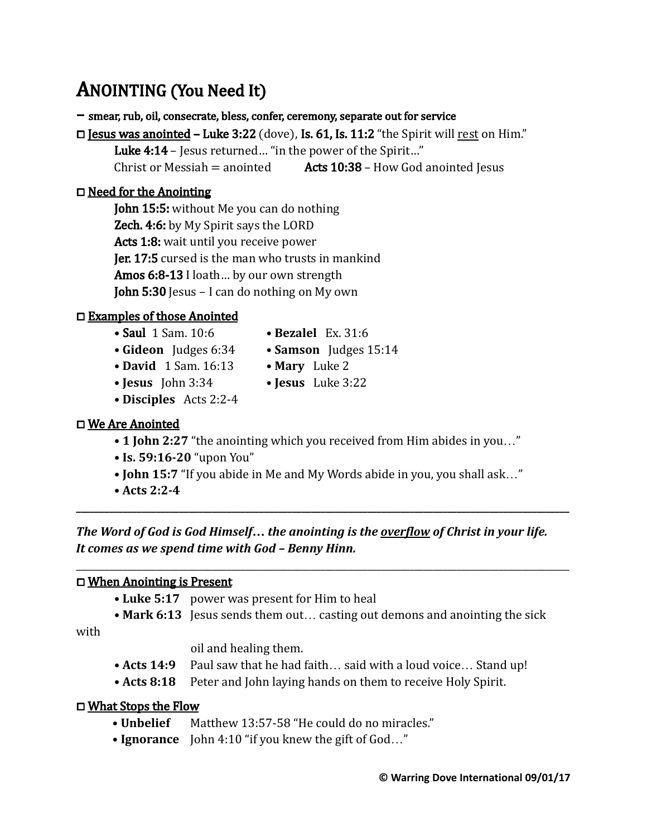# ANOINTING (You Need It)

– smear, rub, oil, consecrate, bless, confer, ceremony, separate out for service

 $\Box$  Jesus was anointed – Luke 3:22 (dove), Is. 61, Is. 11:2 "the Spirit will rest on Him."

Luke 4:14 – Jesus returned... "in the power of the Spirit..."

Christ or Messiah = anointed  $\overline{A}$  **Acts 10:38** – How God anointed Jesus

### ⧠ Need for the Anointing

John 15:5: without Me you can do nothing **Zech. 4:6:** by My Spirit says the LORD Acts 1:8: wait until you receive power **Jer. 17:5** cursed is the man who trusts in mankind Amos 6:8-13 I loath... by our own strength John 5:30 Jesus – I can do nothing on My own

## ⧠ Examples of those Anointed

- **•** Saul 1 Sam. 10:6  **Bezalel** Ex. 31:6
- **Gideon** Judges 6:34  **Samson** Judges 15:14
	-
- **David** 1 Sam. 16:13  **Mary** Luke 2
- **Jesus** John 3:34  **Jesus** Luke 3:22
	-
- **Disciples** Acts 2:2-4

## □ We Are Anointed

- 1 **John 2:27** "the anointing which you received from Him abides in you..."
- **Is. 59:16-20** "upon You"
- **John 15:7** "If you abide in Me and My Words abide in you, you shall ask…"

**\_\_\_\_\_\_\_\_\_\_\_\_\_\_\_\_\_\_\_\_\_\_\_\_\_\_\_\_\_\_\_\_\_\_\_\_\_\_\_\_\_\_\_\_\_\_\_\_\_\_\_\_\_\_\_\_\_\_\_\_\_\_\_\_\_\_\_\_\_\_\_\_\_\_\_\_\_\_\_\_\_\_\_\_\_\_\_\_\_\_\_\_\_\_\_\_\_\_\_\_\_\_\_\_\_**

\_\_\_\_\_\_\_\_\_\_\_\_\_\_\_\_\_\_\_\_\_\_\_\_\_\_\_\_\_\_\_\_\_\_\_\_\_\_\_\_\_\_\_\_\_\_\_\_\_\_\_\_\_\_\_\_\_\_\_\_\_\_\_\_\_\_\_\_\_\_\_\_\_\_\_\_\_\_\_\_\_\_\_\_\_\_\_\_\_\_\_\_\_\_\_\_\_\_\_\_\_\_\_\_\_

**• Acts 2:2-4**

*The Word of God is God Himself… the anointing is the overflow of Christ in your life. It comes as we spend time with God – Benny Hinn.*

#### ⧠ When Anointing is Present

- **Luke 5:17** power was present for Him to heal
- Mark 6:13 Jesus sends them out... casting out demons and anointing the sick

with

oil and healing them.

- Acts 14:9 Paul saw that he had faith... said with a loud voice... Stand up!
- Acts 8:18 Peter and John laying hands on them to receive Holy Spirit.

#### ⧠ What Stops the Flow

- **Unbelief** Matthew 13:57-58 "He could do no miracles."
- **Ignorance** John 4:10 "if you knew the gift of God…"